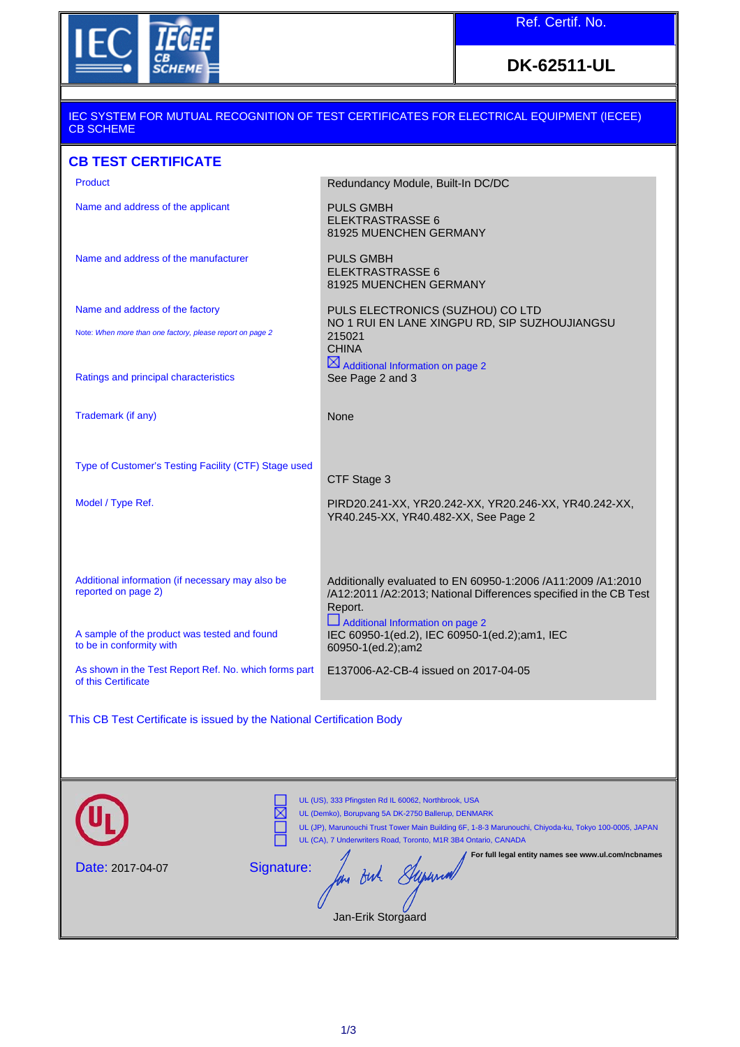

# **DK-62511-UL**

#### IEC SYSTEM FOR MUTUAL RECOGNITION OF TEST CERTIFICATES FOR ELECTRICAL EQUIPMENT (IECEE) CB SCHEME

## **CB TEST CERTIFICATE**

| <b>Product</b>                                                               | Redundancy Module, Built-In DC/DC                                                                                                            |
|------------------------------------------------------------------------------|----------------------------------------------------------------------------------------------------------------------------------------------|
| Name and address of the applicant                                            | <b>PULS GMBH</b><br><b>ELEKTRASTRASSE 6</b><br>81925 MUENCHEN GERMANY                                                                        |
| Name and address of the manufacturer                                         | <b>PULS GMBH</b><br><b>ELEKTRASTRASSE 6</b><br>81925 MUENCHEN GERMANY                                                                        |
| Name and address of the factory                                              | PULS ELECTRONICS (SUZHOU) CO LTD                                                                                                             |
| Note: When more than one factory, please report on page 2                    | NO 1 RUI EN LANE XINGPU RD, SIP SUZHOUJIANGSU<br>215021<br><b>CHINA</b>                                                                      |
| Ratings and principal characteristics                                        | $\boxtimes$ Additional Information on page 2<br>See Page 2 and 3                                                                             |
| Trademark (if any)                                                           | None                                                                                                                                         |
| Type of Customer's Testing Facility (CTF) Stage used                         | CTF Stage 3                                                                                                                                  |
| Model / Type Ref.                                                            | PIRD20.241-XX, YR20.242-XX, YR20.246-XX, YR40.242-XX,<br>YR40.245-XX, YR40.482-XX, See Page 2                                                |
|                                                                              |                                                                                                                                              |
| Additional information (if necessary may also be<br>reported on page 2)      | Additionally evaluated to EN 60950-1:2006 /A11:2009 /A1:2010<br>/A12:2011 /A2:2013; National Differences specified in the CB Test<br>Report. |
| A sample of the product was tested and found<br>to be in conformity with     | Additional Information on page 2<br>IEC 60950-1(ed.2), IEC 60950-1(ed.2);am1, IEC<br>60950-1(ed.2);am2                                       |
| As shown in the Test Report Ref. No. which forms part<br>of this Certificate | E137006-A2-CB-4 issued on 2017-04-05                                                                                                         |
| This CB Test Certificate is issued by the National Certification Body        |                                                                                                                                              |

|                  | UL (US), 333 Pfingsten Rd IL 60062, Northbrook, USA<br>UL (Demko), Borupvang 5A DK-2750 Ballerup, DENMARK<br>UL (JP), Marunouchi Trust Tower Main Building 6F, 1-8-3 Marunouchi, Chiyoda-ku, Tokyo 100-0005, JAPAN<br>UL (CA), 7 Underwriters Road, Toronto, M1R 3B4 Ontario, CANADA |
|------------------|--------------------------------------------------------------------------------------------------------------------------------------------------------------------------------------------------------------------------------------------------------------------------------------|
| Date: 2017-04-07 | For full legal entity names see www.ul.com/ncbnames<br>Signature:<br>Jan-Erik Storgaard                                                                                                                                                                                              |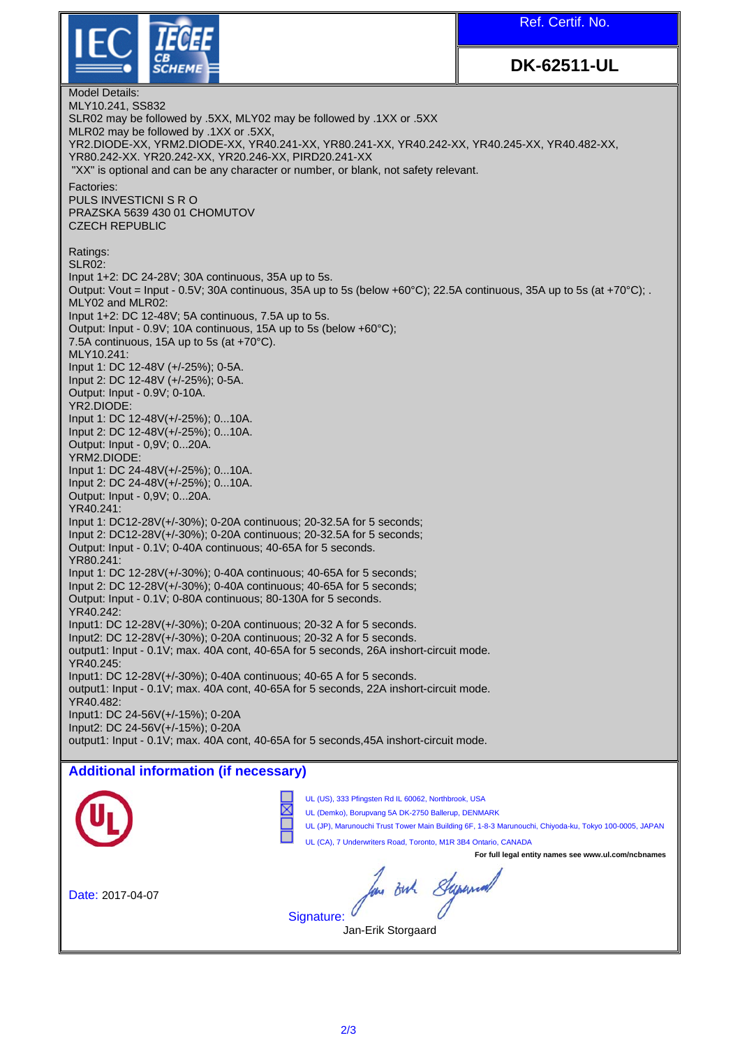Ref. Certif. No.



**DK-62511-UL**

Model Details: MLY10.241, SS832 SLR02 may be followed by .5XX, MLY02 may be followed by .1XX or .5XX MLR02 may be followed by .1XX or .5XX, YR2.DIODE-XX, YRM2.DIODE-XX, YR40.241-XX, YR80.241-XX, YR40.242-XX, YR40.245-XX, YR40.482-XX, YR80.242-XX. YR20.242-XX, YR20.246-XX, PIRD20.241-XX "XX" is optional and can be any character or number, or blank, not safety relevant. Factories: PULS INVESTICNI S R O PRAZSKA 5639 430 01 CHOMUTOV CZECH REPUBLIC Ratings: SLR02: Input 1+2: DC 24-28V; 30A continuous, 35A up to 5s. Output: Vout = Input - 0.5V; 30A continuous, 35A up to 5s (below +60°C); 22.5A continuous, 35A up to 5s (at +70°C); . MLY02 and MLR02: Input 1+2: DC 12-48V; 5A continuous, 7.5A up to 5s. Output: Input - 0.9V; 10A continuous, 15A up to 5s (below +60°C); 7.5A continuous, 15A up to 5s (at +70°C). MLY10.241: Input 1: DC 12-48V (+/-25%); 0-5A. Input 2: DC 12-48V (+/-25%); 0-5A. Output: Input - 0.9V; 0-10A. YR2.DIODE: Input 1: DC 12-48V(+/-25%); 0...10A. Input 2: DC 12-48V(+/-25%); 0...10A. Output: Input - 0,9V; 0...20A. YRM2.DIODE: Input 1: DC 24-48V(+/-25%); 0...10A. Input 2: DC 24-48V(+/-25%); 0...10A. Output: Input - 0,9V; 0...20A. YR40.241: Input 1: DC12-28V(+/-30%); 0-20A continuous; 20-32.5A for 5 seconds; Input 2: DC12-28V(+/-30%); 0-20A continuous; 20-32.5A for 5 seconds; Output: Input - 0.1V; 0-40A continuous; 40-65A for 5 seconds. YR80.241: Input 1: DC 12-28V(+/-30%); 0-40A continuous; 40-65A for 5 seconds; Input 2: DC 12-28V(+/-30%); 0-40A continuous; 40-65A for 5 seconds; Output: Input - 0.1V; 0-80A continuous; 80-130A for 5 seconds. YR40.242: Input1: DC 12-28V(+/-30%); 0-20A continuous; 20-32 A for 5 seconds. Input2: DC 12-28V(+/-30%); 0-20A continuous; 20-32 A for 5 seconds. output1: Input - 0.1V; max. 40A cont, 40-65A for 5 seconds, 26A inshort-circuit mode. YR40.245<sup>.</sup> Input1: DC 12-28V(+/-30%); 0-40A continuous; 40-65 A for 5 seconds. output1: Input - 0.1V; max. 40A cont, 40-65A for 5 seconds, 22A inshort-circuit mode. YR40.482: Input1: DC 24-56V(+/-15%); 0-20A Input2: DC 24-56V(+/-15%); 0-20A output1: Input - 0.1V; max. 40A cont, 40-65A for 5 seconds,45A inshort-circuit mode. **Additional information (if necessary)** UL (US), 333 Pfingsten Rd IL 60062, Northbrook, USA UL (Demko), Borupvang 5A DK-2750 Ballerup, DENMARK UL (JP), Marunouchi Trust Tower Main Building 6F, 1-8-3 Marunouchi, Chiyoda-ku, Tokyo 100-0005, JAPAN UL (CA), 7 Underwriters Road, Toronto, M1R 3B4 Ontario, CANADA **For full legal entity names see www.ul.com/ncbnames** Jan Buh Supermal Date: 2017-04-07Signature: Jan-Erik Storgaard